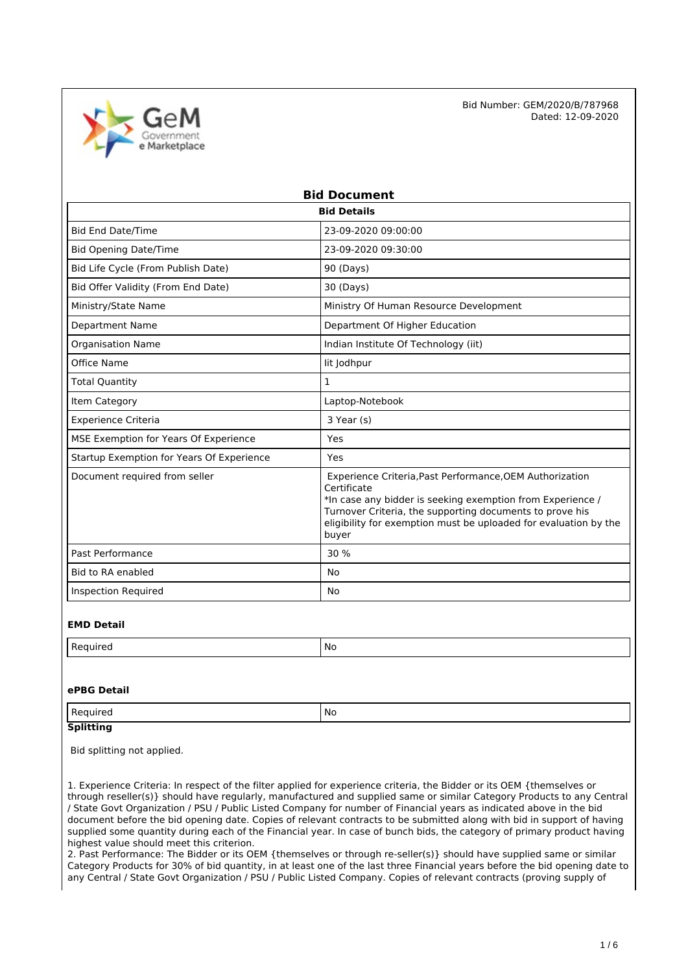

| <b>Bid Document</b>                       |                                                                                                                                                                                                                                                                                |  |  |  |
|-------------------------------------------|--------------------------------------------------------------------------------------------------------------------------------------------------------------------------------------------------------------------------------------------------------------------------------|--|--|--|
| <b>Bid Details</b>                        |                                                                                                                                                                                                                                                                                |  |  |  |
| <b>Bid End Date/Time</b>                  | 23-09-2020 09:00:00                                                                                                                                                                                                                                                            |  |  |  |
| <b>Bid Opening Date/Time</b>              | 23-09-2020 09:30:00                                                                                                                                                                                                                                                            |  |  |  |
| Bid Life Cycle (From Publish Date)        | 90 (Days)                                                                                                                                                                                                                                                                      |  |  |  |
| Bid Offer Validity (From End Date)        | 30 (Days)                                                                                                                                                                                                                                                                      |  |  |  |
| Ministry/State Name                       | Ministry Of Human Resource Development                                                                                                                                                                                                                                         |  |  |  |
| <b>Department Name</b>                    | Department Of Higher Education                                                                                                                                                                                                                                                 |  |  |  |
| <b>Organisation Name</b>                  | Indian Institute Of Technology (iit)                                                                                                                                                                                                                                           |  |  |  |
| Office Name                               | lit Jodhpur                                                                                                                                                                                                                                                                    |  |  |  |
| <b>Total Quantity</b>                     | $\mathbf{1}$                                                                                                                                                                                                                                                                   |  |  |  |
| Item Category                             | Laptop-Notebook                                                                                                                                                                                                                                                                |  |  |  |
| <b>Experience Criteria</b>                | 3 Year (s)                                                                                                                                                                                                                                                                     |  |  |  |
| MSE Exemption for Years Of Experience     | Yes                                                                                                                                                                                                                                                                            |  |  |  |
| Startup Exemption for Years Of Experience | Yes                                                                                                                                                                                                                                                                            |  |  |  |
| Document required from seller             | Experience Criteria, Past Performance, OEM Authorization<br>Certificate<br>*In case any bidder is seeking exemption from Experience /<br>Turnover Criteria, the supporting documents to prove his<br>eligibility for exemption must be uploaded for evaluation by the<br>buyer |  |  |  |
| Past Performance                          | 30 %                                                                                                                                                                                                                                                                           |  |  |  |
| Bid to RA enabled                         | No                                                                                                                                                                                                                                                                             |  |  |  |
| <b>Inspection Required</b>                | No                                                                                                                                                                                                                                                                             |  |  |  |

#### **EMD Detail**

| nureo | N0     |
|-------|--------|
| .     | $\sim$ |

#### **ePBG Detail**

| auired:          | ' No |
|------------------|------|
| <b>Splitting</b> |      |

Bid splitting not applied.

1. Experience Criteria: In respect of the filter applied for experience criteria, the Bidder or its OEM {themselves or through reseller(s)} should have regularly, manufactured and supplied same or similar Category Products to any Central / State Govt Organization / PSU / Public Listed Company for number of Financial years as indicated above in the bid document before the bid opening date. Copies of relevant contracts to be submitted along with bid in support of having supplied some quantity during each of the Financial year. In case of bunch bids, the category of primary product having highest value should meet this criterion.

2. Past Performance: The Bidder or its OEM {themselves or through re-seller(s)} should have supplied same or similar Category Products for 30% of bid quantity, in at least one of the last three Financial years before the bid opening date to any Central / State Govt Organization / PSU / Public Listed Company. Copies of relevant contracts (proving supply of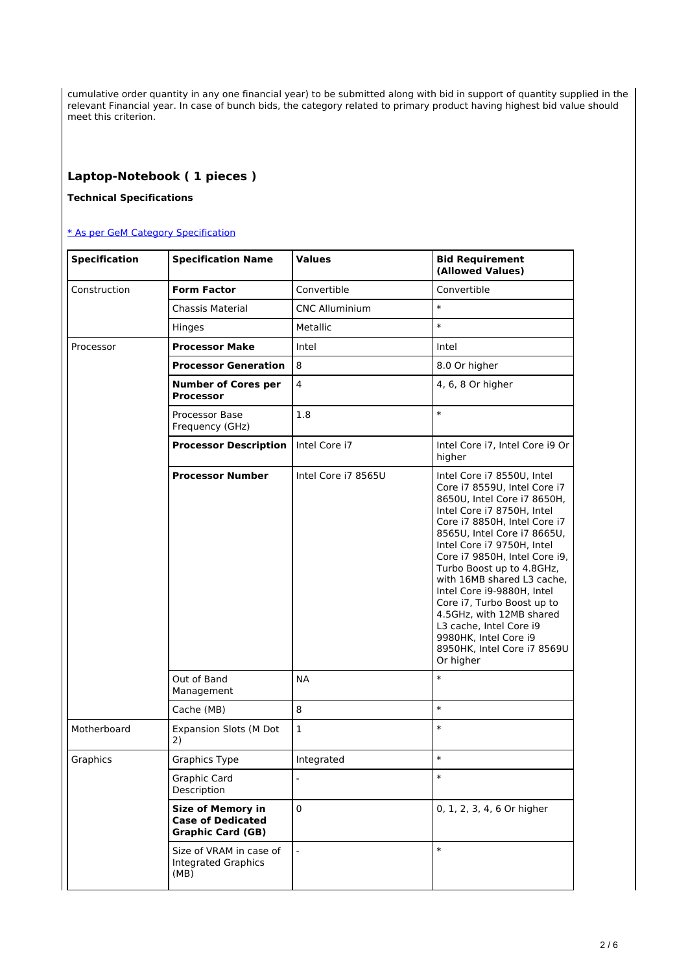cumulative order quantity in any one financial year) to be submitted along with bid in support of quantity supplied in the relevant Financial year. In case of bunch bids, the category related to primary product having highest bid value should meet this criterion.

## **Laptop-Notebook ( 1 pieces )**

## **Technical Specifications**

### [\\* As per GeM Category Specification](https://bidplus.gem.gov.in/bidding/bid/showCatalogue/591ZwdxIVQuYcYSqaPfFHjgUYJrrZZTuSi03ql41MhE)

| <b>Specification</b> | <b>Specification Name</b>                                                        | <b>Values</b>            | <b>Bid Requirement</b><br>(Allowed Values)                                                                                                                                                                                                                                                                                                                                                                                                                                                               |
|----------------------|----------------------------------------------------------------------------------|--------------------------|----------------------------------------------------------------------------------------------------------------------------------------------------------------------------------------------------------------------------------------------------------------------------------------------------------------------------------------------------------------------------------------------------------------------------------------------------------------------------------------------------------|
| Construction         | <b>Form Factor</b>                                                               | Convertible              | Convertible                                                                                                                                                                                                                                                                                                                                                                                                                                                                                              |
|                      | Chassis Material                                                                 | <b>CNC Alluminium</b>    | $\ast$                                                                                                                                                                                                                                                                                                                                                                                                                                                                                                   |
|                      | Hinges                                                                           | Metallic                 | $\ast$                                                                                                                                                                                                                                                                                                                                                                                                                                                                                                   |
| Processor            | <b>Processor Make</b>                                                            | Intel                    | Intel                                                                                                                                                                                                                                                                                                                                                                                                                                                                                                    |
|                      | <b>Processor Generation</b>                                                      | 8                        | 8.0 Or higher                                                                                                                                                                                                                                                                                                                                                                                                                                                                                            |
|                      | <b>Number of Cores per</b><br><b>Processor</b>                                   | $\overline{\mathbf{4}}$  | 4, 6, 8 Or higher                                                                                                                                                                                                                                                                                                                                                                                                                                                                                        |
|                      | Processor Base<br>Frequency (GHz)                                                | 1.8                      | $\ast$                                                                                                                                                                                                                                                                                                                                                                                                                                                                                                   |
|                      | <b>Processor Description</b>                                                     | Intel Core i7            | Intel Core i7, Intel Core i9 Or<br>higher                                                                                                                                                                                                                                                                                                                                                                                                                                                                |
|                      | <b>Processor Number</b>                                                          | Intel Core i7 8565U      | Intel Core i7 8550U, Intel<br>Core i7 8559U, Intel Core i7<br>8650U, Intel Core i7 8650H,<br>Intel Core i7 8750H, Intel<br>Core i7 8850H, Intel Core i7<br>8565U, Intel Core i7 8665U,<br>Intel Core i7 9750H, Intel<br>Core i7 9850H, Intel Core i9,<br>Turbo Boost up to 4.8GHz,<br>with 16MB shared L3 cache,<br>Intel Core i9-9880H, Intel<br>Core i7, Turbo Boost up to<br>4.5GHz, with 12MB shared<br>L3 cache, Intel Core i9<br>9980HK, Intel Core i9<br>8950HK, Intel Core i7 8569U<br>Or higher |
|                      | Out of Band<br>Management                                                        | <b>NA</b>                | $\ast$                                                                                                                                                                                                                                                                                                                                                                                                                                                                                                   |
|                      | Cache (MB)                                                                       | 8                        | $\ast$                                                                                                                                                                                                                                                                                                                                                                                                                                                                                                   |
| Motherboard          | <b>Expansion Slots (M Dot</b><br>2)                                              | $\mathbf{1}$             | $\ast$                                                                                                                                                                                                                                                                                                                                                                                                                                                                                                   |
| Graphics             | <b>Graphics Type</b>                                                             | Integrated               | $\ast$                                                                                                                                                                                                                                                                                                                                                                                                                                                                                                   |
|                      | Graphic Card<br>Description                                                      | $\overline{\phantom{a}}$ | $\ast$                                                                                                                                                                                                                                                                                                                                                                                                                                                                                                   |
|                      | <b>Size of Memory in</b><br><b>Case of Dedicated</b><br><b>Graphic Card (GB)</b> | $\mathbf 0$              | 0, 1, 2, 3, 4, 6 Or higher                                                                                                                                                                                                                                                                                                                                                                                                                                                                               |
|                      | Size of VRAM in case of<br>Integrated Graphics<br>(MB)                           |                          | $\ast$                                                                                                                                                                                                                                                                                                                                                                                                                                                                                                   |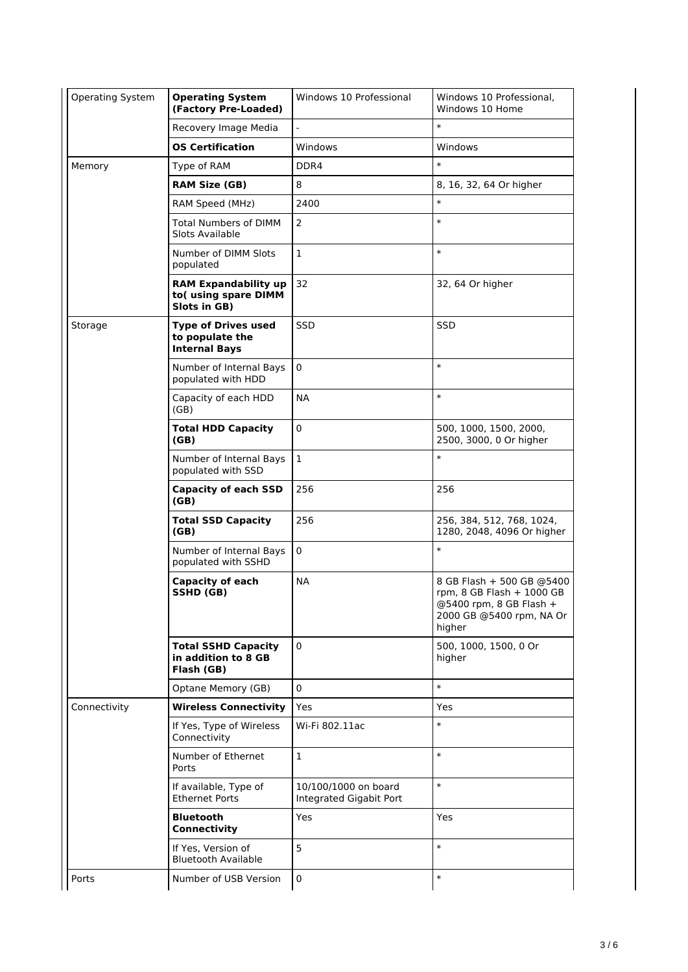| Operating System | <b>Operating System</b><br>(Factory Pre-Loaded)                       | Windows 10 Professional<br>Windows 10 Professional,<br>Windows 10 Home |                                                                                                                             |
|------------------|-----------------------------------------------------------------------|------------------------------------------------------------------------|-----------------------------------------------------------------------------------------------------------------------------|
|                  | Recovery Image Media                                                  |                                                                        | $\ast$                                                                                                                      |
|                  | <b>OS Certification</b>                                               | Windows                                                                | Windows                                                                                                                     |
| Memory           | Type of RAM                                                           | DDR4                                                                   | $\ast$                                                                                                                      |
|                  | <b>RAM Size (GB)</b>                                                  | 8                                                                      | 8, 16, 32, 64 Or higher                                                                                                     |
|                  | RAM Speed (MHz)                                                       | 2400                                                                   | $\ast$                                                                                                                      |
|                  | <b>Total Numbers of DIMM</b><br>Slots Available                       | 2                                                                      | $\ast$                                                                                                                      |
|                  | Number of DIMM Slots<br>populated                                     | $\mathbf{1}$                                                           | $\ast$                                                                                                                      |
|                  | <b>RAM Expandability up</b><br>to(using spare DIMM<br>Slots in GB)    | 32                                                                     | 32, 64 Or higher                                                                                                            |
| Storage          | <b>Type of Drives used</b><br>to populate the<br><b>Internal Bays</b> | <b>SSD</b>                                                             | <b>SSD</b>                                                                                                                  |
|                  | Number of Internal Bays<br>populated with HDD                         | $\mathbf 0$                                                            | $\ast$                                                                                                                      |
|                  | Capacity of each HDD<br>(GB)                                          | <b>NA</b>                                                              | $\ast$                                                                                                                      |
|                  | <b>Total HDD Capacity</b><br>(GB)                                     | $\mathbf 0$                                                            | 500, 1000, 1500, 2000,<br>2500, 3000, 0 Or higher                                                                           |
|                  | Number of Internal Bays<br>populated with SSD                         | $\mathbf{1}$                                                           | $\ast$                                                                                                                      |
|                  | <b>Capacity of each SSD</b><br>(GB)                                   | 256                                                                    | 256                                                                                                                         |
|                  | <b>Total SSD Capacity</b><br>(GB)                                     | 256                                                                    | 256, 384, 512, 768, 1024,<br>1280, 2048, 4096 Or higher                                                                     |
|                  | Number of Internal Bays<br>populated with SSHD                        | $\pmb{0}$                                                              | $\ast$                                                                                                                      |
|                  | <b>Capacity of each</b><br>SSHD (GB)                                  | <b>NA</b>                                                              | 8 GB Flash + 500 GB @5400<br>rpm, $8$ GB Flash $+$ 1000 GB<br>@5400 rpm, 8 GB Flash +<br>2000 GB @5400 rpm, NA Or<br>higher |
|                  | <b>Total SSHD Capacity</b><br>in addition to 8 GB<br>Flash (GB)       | 0                                                                      | 500, 1000, 1500, 0 Or<br>higher                                                                                             |
|                  | Optane Memory (GB)                                                    | $\mathbf 0$                                                            | $\ast$                                                                                                                      |
| Connectivity     | <b>Wireless Connectivity</b>                                          | Yes                                                                    | Yes                                                                                                                         |
|                  | If Yes, Type of Wireless<br>Connectivity                              | Wi-Fi 802.11ac                                                         | $\ast$                                                                                                                      |
|                  | Number of Ethernet<br>Ports                                           | $\mathbf 1$                                                            | $\ast$                                                                                                                      |
|                  | If available, Type of<br><b>Ethernet Ports</b>                        | 10/100/1000 on board<br>Integrated Gigabit Port                        | $\ast$                                                                                                                      |
|                  | <b>Bluetooth</b><br><b>Connectivity</b>                               | Yes                                                                    | Yes                                                                                                                         |
|                  | If Yes, Version of<br><b>Bluetooth Available</b>                      | 5                                                                      | $\ast$                                                                                                                      |
| Ports            | Number of USB Version                                                 | $\pmb{0}$                                                              | $\ast$                                                                                                                      |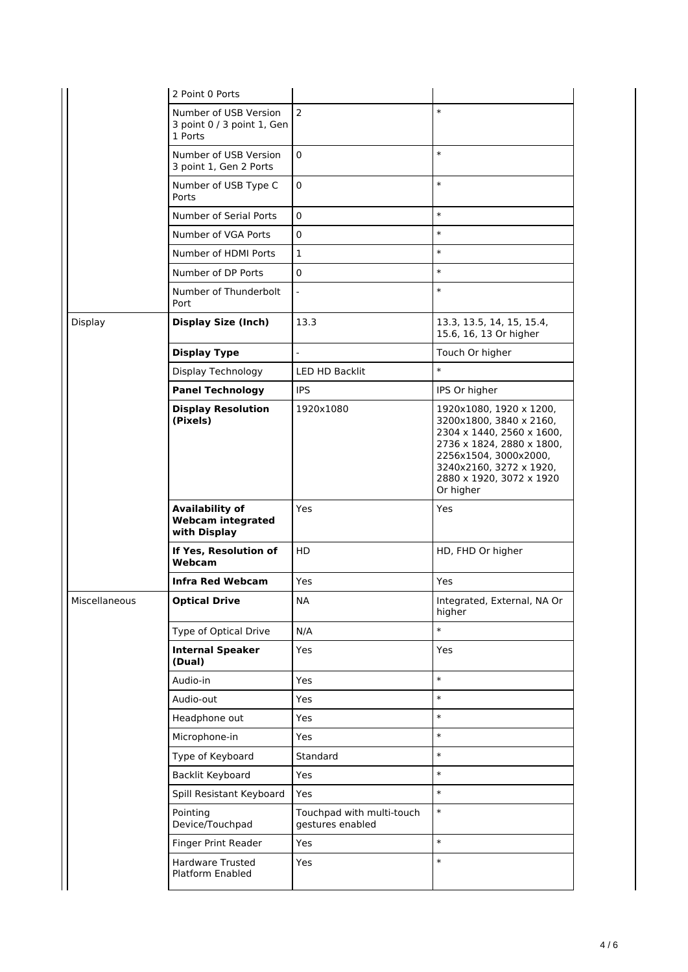|               | 2 Point 0 Ports                                                    |                                               |                                                                                                                                                                                                           |
|---------------|--------------------------------------------------------------------|-----------------------------------------------|-----------------------------------------------------------------------------------------------------------------------------------------------------------------------------------------------------------|
|               | Number of USB Version<br>3 point 0 / 3 point 1, Gen<br>1 Ports     | $\overline{2}$                                | $\ast$                                                                                                                                                                                                    |
|               | Number of USB Version<br>3 point 1, Gen 2 Ports                    | 0                                             | $\ast$                                                                                                                                                                                                    |
|               | Number of USB Type C<br>Ports                                      | 0                                             | $\ast$                                                                                                                                                                                                    |
|               | Number of Serial Ports                                             | $\pmb{0}$                                     | $\ast$                                                                                                                                                                                                    |
|               | Number of VGA Ports                                                | 0                                             | $\ast$                                                                                                                                                                                                    |
|               | Number of HDMI Ports                                               | 1                                             | $\ast$                                                                                                                                                                                                    |
|               | Number of DP Ports                                                 | 0                                             | $\ast$                                                                                                                                                                                                    |
|               | Number of Thunderbolt<br>Port                                      | $\overline{a}$                                | $\ast$                                                                                                                                                                                                    |
| Display       | <b>Display Size (Inch)</b>                                         | 13.3                                          | 13.3, 13.5, 14, 15, 15.4,<br>15.6, 16, 13 Or higher                                                                                                                                                       |
|               | <b>Display Type</b>                                                | $\overline{a}$                                | Touch Or higher                                                                                                                                                                                           |
|               | Display Technology                                                 | LED HD Backlit                                | $\ast$                                                                                                                                                                                                    |
|               | <b>Panel Technology</b>                                            | <b>IPS</b>                                    | IPS Or higher                                                                                                                                                                                             |
|               | <b>Display Resolution</b><br>(Pixels)                              | 1920x1080                                     | 1920x1080, 1920 x 1200,<br>3200x1800, 3840 x 2160,<br>2304 x 1440, 2560 x 1600,<br>2736 x 1824, 2880 x 1800,<br>2256x1504, 3000x2000,<br>3240x2160, 3272 x 1920,<br>2880 x 1920, 3072 x 1920<br>Or higher |
|               | <b>Availability of</b><br><b>Webcam integrated</b><br>with Display | Yes                                           | Yes                                                                                                                                                                                                       |
|               | If Yes, Resolution of<br>Webcam                                    | <b>HD</b>                                     | HD, FHD Or higher                                                                                                                                                                                         |
|               | <b>Infra Red Webcam</b>                                            | Yes                                           | Yes                                                                                                                                                                                                       |
| Miscellaneous | <b>Optical Drive</b>                                               | <b>NA</b>                                     | Integrated, External, NA Or<br>higher                                                                                                                                                                     |
|               | Type of Optical Drive                                              | N/A                                           | $\ast$                                                                                                                                                                                                    |
|               | <b>Internal Speaker</b><br>(Dual)                                  | Yes                                           | Yes                                                                                                                                                                                                       |
|               | Audio-in                                                           | Yes                                           | $\ast$                                                                                                                                                                                                    |
|               | Audio-out                                                          | Yes                                           | $\ast$                                                                                                                                                                                                    |
|               | Headphone out                                                      | Yes                                           | $\ast$                                                                                                                                                                                                    |
|               | Microphone-in                                                      | Yes                                           | $\ast$                                                                                                                                                                                                    |
|               | Type of Keyboard                                                   | Standard                                      | $\ast$                                                                                                                                                                                                    |
|               | Backlit Keyboard                                                   | Yes                                           | $\ast$                                                                                                                                                                                                    |
|               | Spill Resistant Keyboard                                           | Yes                                           | $\ast$                                                                                                                                                                                                    |
|               | Pointing<br>Device/Touchpad                                        | Touchpad with multi-touch<br>gestures enabled | $\ast$                                                                                                                                                                                                    |
|               | Finger Print Reader                                                | Yes                                           | $\ast$                                                                                                                                                                                                    |
|               | Hardware Trusted<br>Platform Enabled                               | Yes                                           | $\ast$                                                                                                                                                                                                    |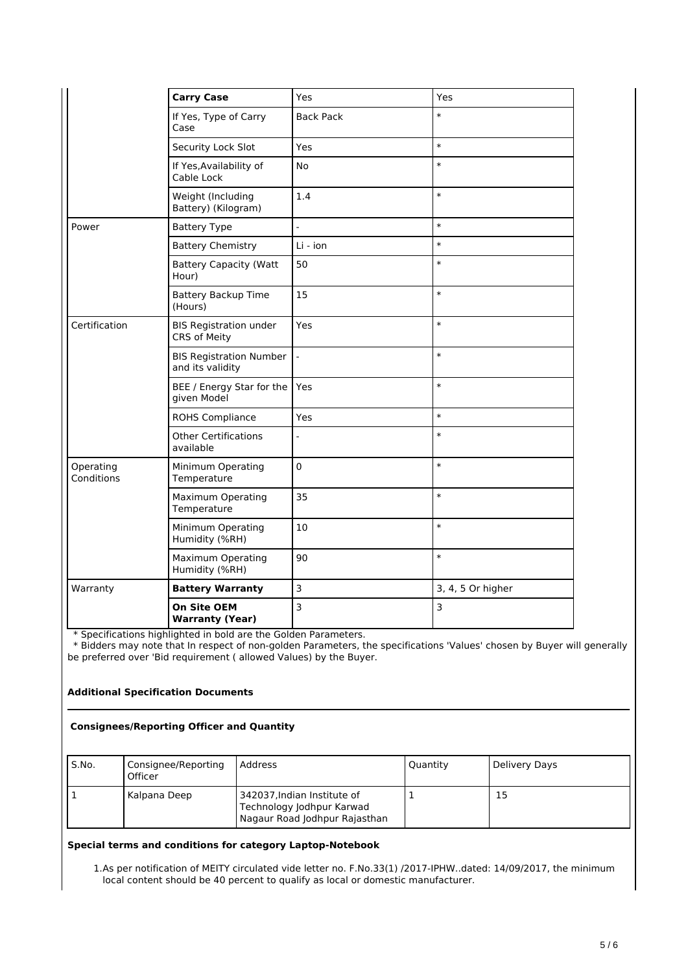|                         | <b>Carry Case</b>                                  | Yes              | Yes               |
|-------------------------|----------------------------------------------------|------------------|-------------------|
|                         | If Yes, Type of Carry<br>Case                      | <b>Back Pack</b> | $\ast$            |
|                         | Security Lock Slot                                 | Yes              | $\ast$            |
|                         | If Yes, Availability of<br>Cable Lock              | No               | $\ast$            |
|                         | Weight (Including<br>Battery) (Kilogram)           | 1.4              | $\ast$            |
| Power                   | <b>Battery Type</b>                                | $\overline{a}$   | $\ast$            |
|                         | <b>Battery Chemistry</b>                           | Li - ion         | $\ast$            |
|                         | <b>Battery Capacity (Watt</b><br>Hour)             | 50               | $\ast$            |
|                         | <b>Battery Backup Time</b><br>(Hours)              | 15               | $\ast$            |
| Certification           | <b>BIS Registration under</b><br>CRS of Meity      | Yes              | $\ast$            |
|                         | <b>BIS Registration Number</b><br>and its validity | $\frac{1}{2}$    | $\ast$            |
|                         | BEE / Energy Star for the<br>given Model           | Yes              | $\ast$            |
|                         | ROHS Compliance                                    | Yes              | $\ast$            |
|                         | <b>Other Certifications</b><br>available           | $\overline{a}$   | $\ast$            |
| Operating<br>Conditions | Minimum Operating<br>Temperature                   | $\pmb{0}$        | $\ast$            |
|                         | <b>Maximum Operating</b><br>Temperature            | 35               | $\ast$            |
|                         | Minimum Operating<br>Humidity (%RH)                | 10               | $\ast$            |
|                         | <b>Maximum Operating</b><br>Humidity (%RH)         | 90               | $\ast$            |
| Warranty                | <b>Battery Warranty</b>                            | 3                | 3, 4, 5 Or higher |
|                         | <b>On Site OEM</b><br><b>Warranty (Year)</b>       | 3                | $\overline{3}$    |

\* Specifications highlighted in bold are the Golden Parameters.

 \* Bidders may note that In respect of non-golden Parameters, the specifications 'Values' chosen by Buyer will generally be preferred over 'Bid requirement ( allowed Values) by the Buyer.

## **Additional Specification Documents**

#### **Consignees/Reporting Officer and Quantity**

| S.No. | Consignee/Reporting<br>Officer | Address                                                                                   | Quantity | Delivery Days |
|-------|--------------------------------|-------------------------------------------------------------------------------------------|----------|---------------|
|       | Kalpana Deep                   | 342037, Indian Institute of<br>Technology Jodhpur Karwad<br>Nagaur Road Jodhpur Rajasthan |          | 15            |

### **Special terms and conditions for category Laptop-Notebook**

1.As per notification of MEITY circulated vide letter no. F.No.33(1) /2017-IPHW..dated: 14/09/2017, the minimum local content should be 40 percent to qualify as local or domestic manufacturer.